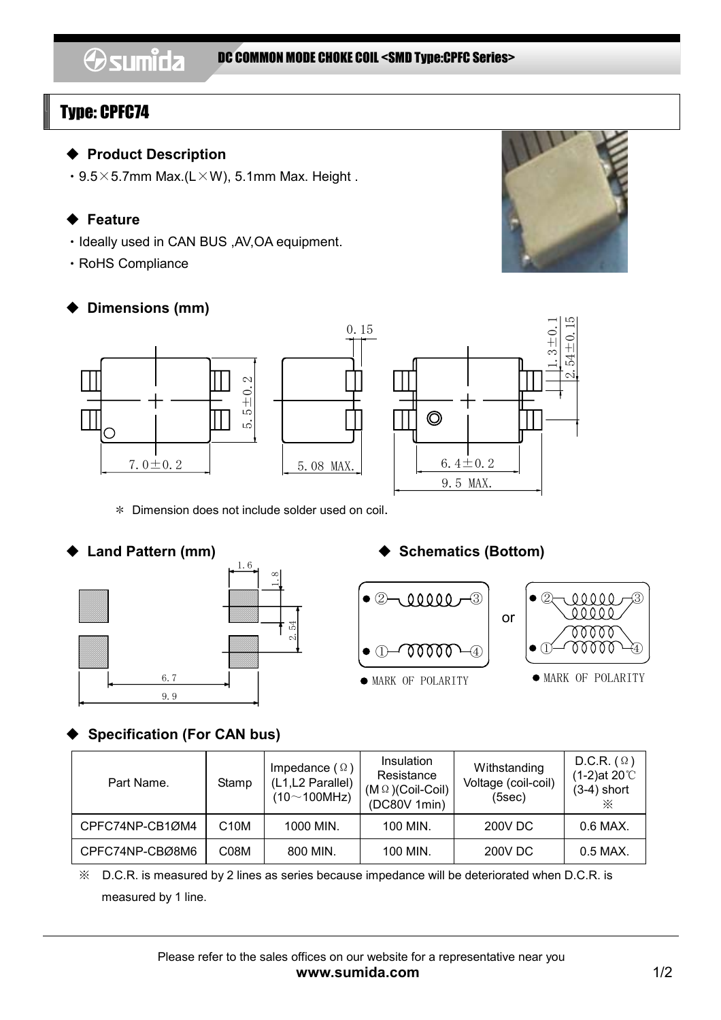# Type: CPFC74

ı

### ◆ **Product Description**

 $\cdot$  9.5 $\times$ 5.7mm Max.(L $\times$ W), 5.1mm Max. Height.

## ◆ **Feature**

- ・Ideally used in CAN BUS ,AV,OA equipment.
- ・RoHS Compliance

# ◆ **Dimensions (mm)**



\* Dimension does not include solder used on coil.





## ◆ Land Pattern (mm) **◆** Schematics (Bottom)



# **Specification (For CAN bus)**

| Part Name.      | Stamp             | Impedance $(\Omega)$<br>(L1,L2 Parallel)<br>$(10~100$ MHz) | <b>Insulation</b><br>Resistance<br>$(M \Omega)$ (Coil-Coil)<br>(DC80V 1min) | Withstanding<br>Voltage (coil-coil)<br>(5sec) | D.C.R. $(\Omega)$<br>$(1-2)$ at 20°C<br>$(3-4)$ short<br>⋇ |
|-----------------|-------------------|------------------------------------------------------------|-----------------------------------------------------------------------------|-----------------------------------------------|------------------------------------------------------------|
| CPFC74NP-CB1ØM4 | C <sub>10</sub> M | 1000 MIN.                                                  | 100 MIN.                                                                    | 200V DC                                       | $0.6$ MAX.                                                 |
| CPFC74NP-CBØ8M6 | C08M              | 800 MIN.                                                   | 100 MIN.                                                                    | 200V DC                                       | $0.5$ MAX.                                                 |

※ D.C.R. is measured by 2 lines as series because impedance will be deteriorated when D.C.R. is measured by 1 line.



 $2.54 \pm 0.15$ 1.3±0.1